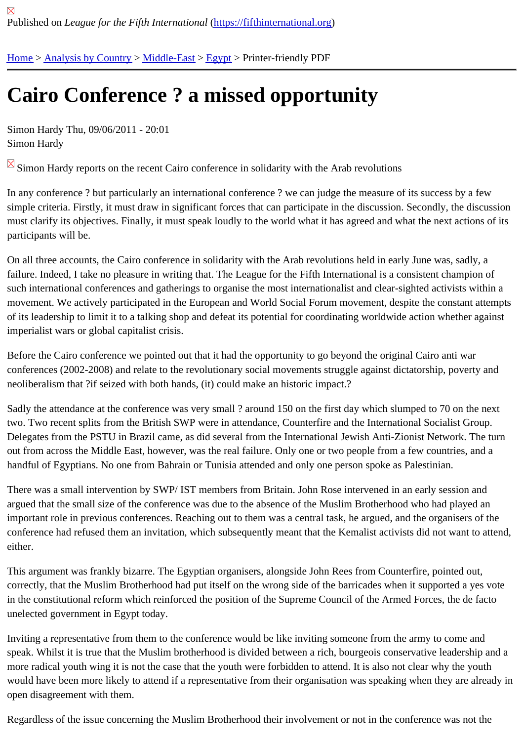## [Ca](https://fifthinternational.org/)i[ro Confere](https://fifthinternational.org/category/1)[nce ?](https://fifthinternational.org/category/1/178) [a mi](https://fifthinternational.org/category/1/178/181)ssed opportunity

Simon Hardy Thu, 09/06/2011 - 20:01 Simon Hardy

Simon Hardy reports on the recent Cairo conference in solidarity with the Arab revolutions

In any conference ? but particularly an international conference ? we can judge the measure of its success by a fe simple criteria. Firstly, it must draw in significant forces that can participate in the discussion. Secondly, the discus must clarify its objectives. Finally, it must speak loudly to the world what it has agreed and what the next actions of participants will be.

On all three accounts, the Cairo conference in solidarity with the Arab revolutions held in early June was, sadly, a failure. Indeed, I take no pleasure in writing that. The League for the Fifth International is a consistent champion of such international conferences and gatherings to organise the most internationalist and clear-sighted activists with movement. We actively participated in the European and World Social Forum movement, despite the constant atte of its leadership to limit it to a talking shop and defeat its potential for coordinating worldwide action whether again imperialist wars or global capitalist crisis.

Before the Cairo conference we pointed out that it had the opportunity to go beyond the original Cairo anti war conferences (2002-2008) and relate to the revolutionary social movements struggle against dictatorship, poverty a neoliberalism that ?if seized with both hands, (it) could make an historic impact.?

Sadly the attendance at the conference was very small ? around 150 on the first day which slumped to 70 on the r two. Two recent splits from the British SWP were in attendance, Counterfire and the International Socialist Group. Delegates from the PSTU in Brazil came, as did several from the International Jewish Anti-Zionist Network. The tu out from across the Middle East, however, was the real failure. Only one or two people from a few countries, and a handful of Egyptians. No one from Bahrain or Tunisia attended and only one person spoke as Palestinian.

There was a small intervention by SWP/ IST members from Britain. John Rose intervened in an early session and argued that the small size of the conference was due to the absence of the Muslim Brotherhood who had played a important role in previous conferences. Reaching out to them was a central task, he argued, and the organisers of conference had refused them an invitation, which subsequently meant that the Kemalist activists did not want to at either.

This argument was frankly bizarre. The Egyptian organisers, alongside John Rees from Counterfire, pointed out, correctly, that the Muslim Brotherhood had put itself on the wrong side of the barricades when it supported a yes v in the constitutional reform which reinforced the position of the Supreme Council of the Armed Forces, the de facto unelected government in Egypt today.

Inviting a representative from them to the conference would be like inviting someone from the army to come and speak. Whilst it is true that the Muslim brotherhood is divided between a rich, bourgeois conservative leadership a more radical youth wing it is not the case that the youth were forbidden to attend. It is also not clear why the youth would have been more likely to attend if a representative from their organisation was speaking when they are alrea open disagreement with them.

Regardless of the issue concerning the Muslim Brotherhood their involvement or not in the conference was not the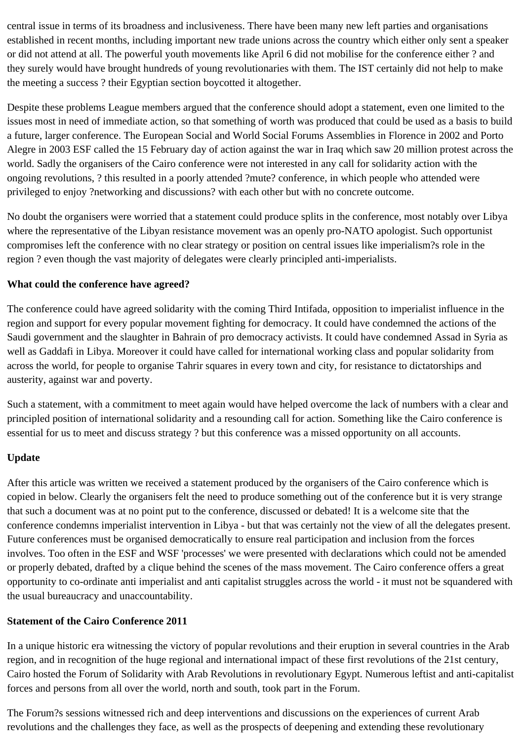central issue in terms of its broadness and inclusiveness. There have been many new left parties and organisations established in recent months, including important new trade unions across the country which either only sent a speaker or did not attend at all. The powerful youth movements like April 6 did not mobilise for the conference either ? and they surely would have brought hundreds of young revolutionaries with them. The IST certainly did not help to make the meeting a success ? their Egyptian section boycotted it altogether.

Despite these problems League members argued that the conference should adopt a statement, even one limited to the issues most in need of immediate action, so that something of worth was produced that could be used as a basis to build a future, larger conference. The European Social and World Social Forums Assemblies in Florence in 2002 and Porto Alegre in 2003 ESF called the 15 February day of action against the war in Iraq which saw 20 million protest across the world. Sadly the organisers of the Cairo conference were not interested in any call for solidarity action with the ongoing revolutions, ? this resulted in a poorly attended ?mute? conference, in which people who attended were privileged to enjoy ?networking and discussions? with each other but with no concrete outcome.

No doubt the organisers were worried that a statement could produce splits in the conference, most notably over Libya where the representative of the Libyan resistance movement was an openly pro-NATO apologist. Such opportunist compromises left the conference with no clear strategy or position on central issues like imperialism?s role in the region ? even though the vast majority of delegates were clearly principled anti-imperialists.

## **What could the conference have agreed?**

The conference could have agreed solidarity with the coming Third Intifada, opposition to imperialist influence in the region and support for every popular movement fighting for democracy. It could have condemned the actions of the Saudi government and the slaughter in Bahrain of pro democracy activists. It could have condemned Assad in Syria as well as Gaddafi in Libya. Moreover it could have called for international working class and popular solidarity from across the world, for people to organise Tahrir squares in every town and city, for resistance to dictatorships and austerity, against war and poverty.

Such a statement, with a commitment to meet again would have helped overcome the lack of numbers with a clear and principled position of international solidarity and a resounding call for action. Something like the Cairo conference is essential for us to meet and discuss strategy ? but this conference was a missed opportunity on all accounts.

## **Update**

After this article was written we received a statement produced by the organisers of the Cairo conference which is copied in below. Clearly the organisers felt the need to produce something out of the conference but it is very strange that such a document was at no point put to the conference, discussed or debated! It is a welcome site that the conference condemns imperialist intervention in Libya - but that was certainly not the view of all the delegates present. Future conferences must be organised democratically to ensure real participation and inclusion from the forces involves. Too often in the ESF and WSF 'processes' we were presented with declarations which could not be amended or properly debated, drafted by a clique behind the scenes of the mass movement. The Cairo conference offers a great opportunity to co-ordinate anti imperialist and anti capitalist struggles across the world - it must not be squandered with the usual bureaucracy and unaccountability.

## **Statement of the Cairo Conference 2011**

In a unique historic era witnessing the victory of popular revolutions and their eruption in several countries in the Arab region, and in recognition of the huge regional and international impact of these first revolutions of the 21st century, Cairo hosted the Forum of Solidarity with Arab Revolutions in revolutionary Egypt. Numerous leftist and anti-capitalist forces and persons from all over the world, north and south, took part in the Forum.

The Forum?s sessions witnessed rich and deep interventions and discussions on the experiences of current Arab revolutions and the challenges they face, as well as the prospects of deepening and extending these revolutionary